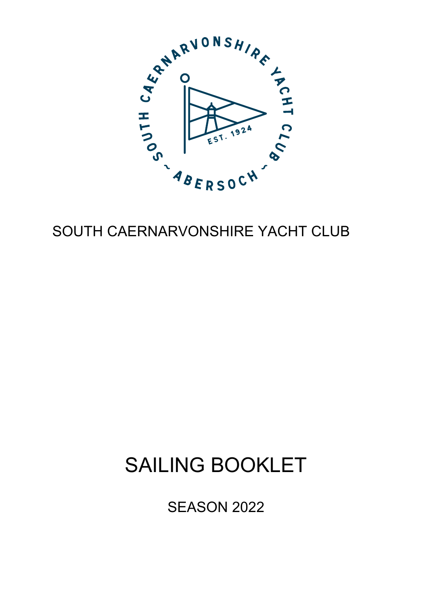

# SOUTH CAERNARVONSHIRE YACHT CLUB

# SAILING BOOKLET

SEASON 2022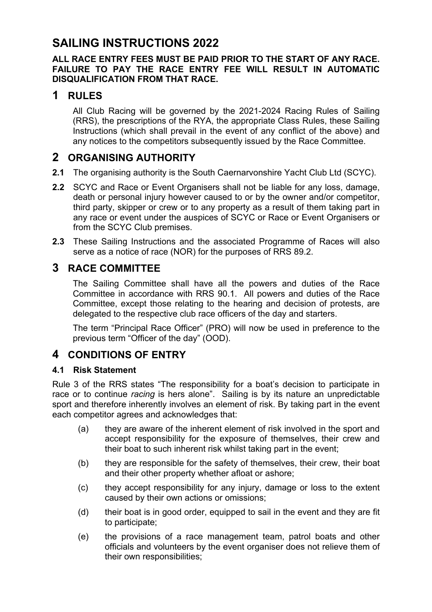## **SAILING INSTRUCTIONS 2022**

### **ALL RACE ENTRY FEES MUST BE PAID PRIOR TO THE START OF ANY RACE. FAILURE TO PAY THE RACE ENTRY FEE WILL RESULT IN AUTOMATIC DISQUALIFICATION FROM THAT RACE.**

### **1 RULES**

All Club Racing will be governed by the 2021-2024 Racing Rules of Sailing (RRS), the prescriptions of the RYA, the appropriate Class Rules, these Sailing Instructions (which shall prevail in the event of any conflict of the above) and any notices to the competitors subsequently issued by the Race Committee.

### **2 ORGANISING AUTHORITY**

- **2.1** The organising authority is the South Caernarvonshire Yacht Club Ltd (SCYC).
- **2.2** SCYC and Race or Event Organisers shall not be liable for any loss, damage, death or personal injury however caused to or by the owner and/or competitor, third party, skipper or crew or to any property as a result of them taking part in any race or event under the auspices of SCYC or Race or Event Organisers or from the SCYC Club premises.
- **2.3** These Sailing Instructions and the associated Programme of Races will also serve as a notice of race (NOR) for the purposes of RRS 89.2.

### **3 RACE COMMITTEE**

The Sailing Committee shall have all the powers and duties of the Race Committee in accordance with RRS 90.1. All powers and duties of the Race Committee, except those relating to the hearing and decision of protests, are delegated to the respective club race officers of the day and starters.

The term "Principal Race Officer" (PRO) will now be used in preference to the previous term "Officer of the day" (OOD).

### **4 CONDITIONS OF ENTRY**

### **4.1 Risk Statement**

Rule 3 of the RRS states "The responsibility for a boat's decision to participate in race or to continue *racing* is hers alone". Sailing is by its nature an unpredictable sport and therefore inherently involves an element of risk. By taking part in the event each competitor agrees and acknowledges that:

- (a) they are aware of the inherent element of risk involved in the sport and accept responsibility for the exposure of themselves, their crew and their boat to such inherent risk whilst taking part in the event;
- (b) they are responsible for the safety of themselves, their crew, their boat and their other property whether afloat or ashore;
- (c) they accept responsibility for any injury, damage or loss to the extent caused by their own actions or omissions;
- (d) their boat is in good order, equipped to sail in the event and they are fit to participate;
- (e) the provisions of a race management team, patrol boats and other officials and volunteers by the event organiser does not relieve them of their own responsibilities;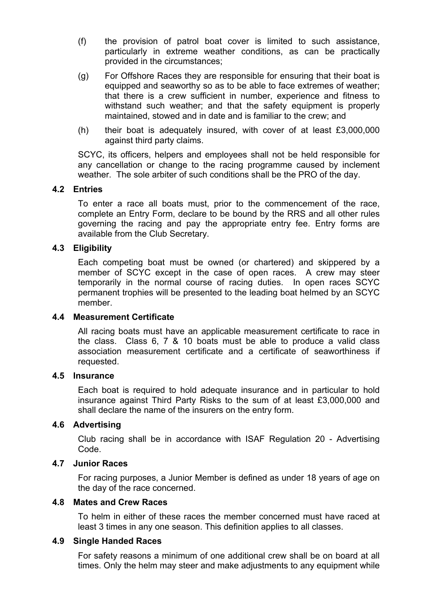- (f) the provision of patrol boat cover is limited to such assistance, particularly in extreme weather conditions, as can be practically provided in the circumstances;
- (g) For Offshore Races they are responsible for ensuring that their boat is equipped and seaworthy so as to be able to face extremes of weather; that there is a crew sufficient in number, experience and fitness to withstand such weather; and that the safety equipment is properly maintained, stowed and in date and is familiar to the crew; and
- (h) their boat is adequately insured, with cover of at least £3,000,000 against third party claims.

SCYC, its officers, helpers and employees shall not be held responsible for any cancellation or change to the racing programme caused by inclement weather. The sole arbiter of such conditions shall be the PRO of the day.

#### **4.2 Entries**

To enter a race all boats must, prior to the commencement of the race, complete an Entry Form, declare to be bound by the RRS and all other rules governing the racing and pay the appropriate entry fee. Entry forms are available from the Club Secretary.

#### **4.3 Eligibility**

Each competing boat must be owned (or chartered) and skippered by a member of SCYC except in the case of open races. A crew may steer temporarily in the normal course of racing duties. In open races SCYC permanent trophies will be presented to the leading boat helmed by an SCYC member.

#### **4.4 Measurement Certificate**

All racing boats must have an applicable measurement certificate to race in the class. Class 6, 7 & 10 boats must be able to produce a valid class association measurement certificate and a certificate of seaworthiness if requested.

#### **4.5 Insurance**

Each boat is required to hold adequate insurance and in particular to hold insurance against Third Party Risks to the sum of at least £3,000,000 and shall declare the name of the insurers on the entry form.

#### **4.6 Advertising**

Club racing shall be in accordance with ISAF Regulation 20 - Advertising Code.

#### **4.7 Junior Races**

For racing purposes, a Junior Member is defined as under 18 years of age on the day of the race concerned.

#### **4.8 Mates and Crew Races**

To helm in either of these races the member concerned must have raced at least 3 times in any one season. This definition applies to all classes.

#### **4.9 Single Handed Races**

For safety reasons a minimum of one additional crew shall be on board at all times. Only the helm may steer and make adjustments to any equipment while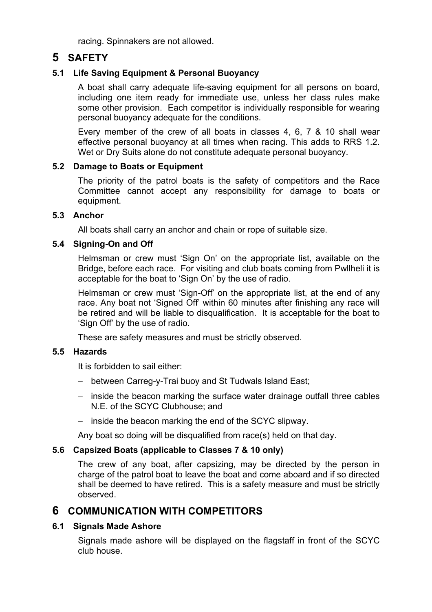racing. Spinnakers are not allowed.

### **5 SAFETY**

### **5.1 Life Saving Equipment & Personal Buoyancy**

A boat shall carry adequate life-saving equipment for all persons on board, including one item ready for immediate use, unless her class rules make some other provision. Each competitor is individually responsible for wearing personal buoyancy adequate for the conditions.

Every member of the crew of all boats in classes 4, 6, 7 & 10 shall wear effective personal buoyancy at all times when racing. This adds to RRS 1.2. Wet or Dry Suits alone do not constitute adequate personal buoyancy.

### **5.2 Damage to Boats or Equipment**

The priority of the patrol boats is the safety of competitors and the Race Committee cannot accept any responsibility for damage to boats or equipment.

### **5.3 Anchor**

All boats shall carry an anchor and chain or rope of suitable size.

### **5.4 Signing-On and Off**

Helmsman or crew must 'Sign On' on the appropriate list, available on the Bridge, before each race. For visiting and club boats coming from Pwllheli it is acceptable for the boat to 'Sign On' by the use of radio.

Helmsman or crew must 'Sign-Off' on the appropriate list, at the end of any race. Any boat not 'Signed Off' within 60 minutes after finishing any race will be retired and will be liable to disqualification. It is acceptable for the boat to 'Sign Off' by the use of radio.

These are safety measures and must be strictly observed.

### **5.5 Hazards**

It is forbidden to sail either:

- between Carreg-y-Trai buoy and St Tudwals Island East;
- inside the beacon marking the surface water drainage outfall three cables N.E. of the SCYC Clubhouse; and
- inside the beacon marking the end of the SCYC slipway.

Any boat so doing will be disqualified from race(s) held on that day.

### **5.6 Capsized Boats (applicable to Classes 7 & 10 only)**

The crew of any boat, after capsizing, may be directed by the person in charge of the patrol boat to leave the boat and come aboard and if so directed shall be deemed to have retired. This is a safety measure and must be strictly observed.

### **6 COMMUNICATION WITH COMPETITORS**

### **6.1 Signals Made Ashore**

Signals made ashore will be displayed on the flagstaff in front of the SCYC club house.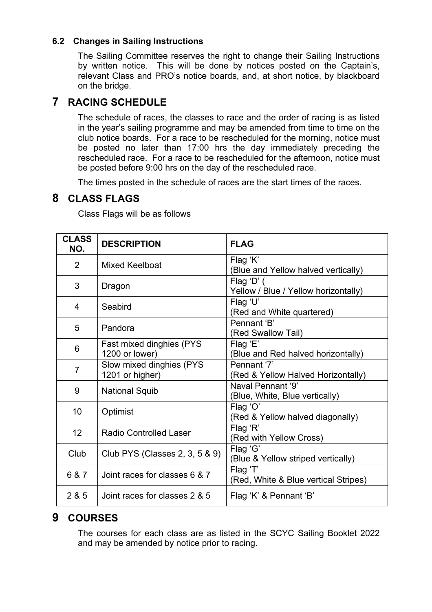### **6.2 Changes in Sailing Instructions**

The Sailing Committee reserves the right to change their Sailing Instructions by written notice. This will be done by notices posted on the Captain's, relevant Class and PRO's notice boards, and, at short notice, by blackboard on the bridge.

### **7 RACING SCHEDULE**

The schedule of races, the classes to race and the order of racing is as listed in the year's sailing programme and may be amended from time to time on the club notice boards. For a race to be rescheduled for the morning, notice must be posted no later than 17:00 hrs the day immediately preceding the rescheduled race. For a race to be rescheduled for the afternoon, notice must be posted before 9:00 hrs on the day of the rescheduled race.

The times posted in the schedule of races are the start times of the races.

### **8 CLASS FLAGS**

Class Flags will be as follows

| <b>CLASS</b><br>NO. | <b>DESCRIPTION</b>                          | <b>FLAG</b>                                         |  |
|---------------------|---------------------------------------------|-----------------------------------------------------|--|
| 2                   | <b>Mixed Keelboat</b>                       | Flag 'K'<br>(Blue and Yellow halved vertically)     |  |
| 3                   | Dragon                                      | Flag 'D' (<br>Yellow / Blue / Yellow horizontally)  |  |
| 4                   | Seabird                                     | Flag 'U'<br>(Red and White quartered)               |  |
| 5                   | Pandora                                     | Pennant 'B'<br>(Red Swallow Tail)                   |  |
| 6                   | Fast mixed dinghies (PYS<br>1200 or lower)  | Flag 'E'<br>(Blue and Red halved horizontally)      |  |
| $\overline{7}$      | Slow mixed dinghies (PYS<br>1201 or higher) | Pennant '7'<br>(Red & Yellow Halved Horizontally)   |  |
| 9                   | <b>National Squib</b>                       | Naval Pennant '9'<br>(Blue, White, Blue vertically) |  |
| 10                  | Optimist                                    | Flag 'O'<br>(Red & Yellow halved diagonally)        |  |
| 12 <sup>2</sup>     | <b>Radio Controlled Laser</b>               | Flag 'R'<br>(Red with Yellow Cross)                 |  |
| Club                | Club PYS (Classes 2, 3, 5 & 9)              | Flag 'G'<br>(Blue & Yellow striped vertically)      |  |
| 6 & 7               | Joint races for classes 6 & 7               | Flag 'T'<br>(Red, White & Blue vertical Stripes)    |  |
| 2 & 5               | Joint races for classes 2 & 5               | Flag 'K' & Pennant 'B'                              |  |

### **9 COURSES**

The courses for each class are as listed in the SCYC Sailing Booklet 2022 and may be amended by notice prior to racing.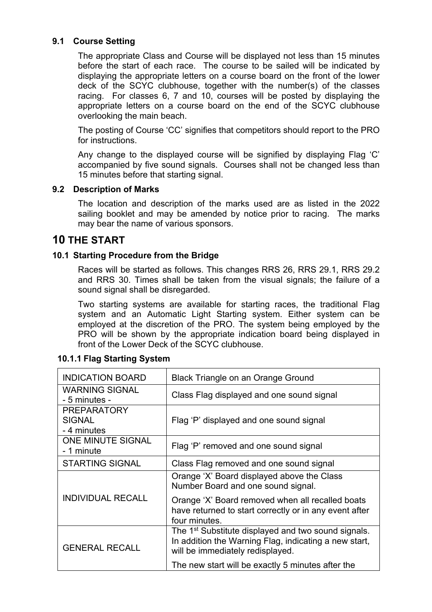### **9.1 Course Setting**

The appropriate Class and Course will be displayed not less than 15 minutes before the start of each race. The course to be sailed will be indicated by displaying the appropriate letters on a course board on the front of the lower deck of the SCYC clubhouse, together with the number(s) of the classes racing. For classes 6, 7 and 10, courses will be posted by displaying the appropriate letters on a course board on the end of the SCYC clubhouse overlooking the main beach.

The posting of Course 'CC' signifies that competitors should report to the PRO for instructions.

Any change to the displayed course will be signified by displaying Flag 'C' accompanied by five sound signals. Courses shall not be changed less than 15 minutes before that starting signal.

#### **9.2 Description of Marks**

The location and description of the marks used are as listed in the 2022 sailing booklet and may be amended by notice prior to racing. The marks may bear the name of various sponsors.

### **10 THE START**

### **10.1 Starting Procedure from the Bridge**

Races will be started as follows. This changes RRS 26, RRS 29.1, RRS 29.2 and RRS 30. Times shall be taken from the visual signals; the failure of a sound signal shall be disregarded.

Two starting systems are available for starting races, the traditional Flag system and an Automatic Light Starting system. Either system can be employed at the discretion of the PRO. The system being employed by the PRO will be shown by the appropriate indication board being displayed in front of the Lower Deck of the SCYC clubhouse.

#### **10.1.1 Flag Starting System**

| <b>INDICATION BOARD</b>                            | <b>Black Triangle on an Orange Ground</b>                                                                                                                    |  |  |
|----------------------------------------------------|--------------------------------------------------------------------------------------------------------------------------------------------------------------|--|--|
| <b>WARNING SIGNAL</b><br>- 5 minutes -             | Class Flag displayed and one sound signal                                                                                                                    |  |  |
| <b>PREPARATORY</b><br><b>SIGNAL</b><br>- 4 minutes | Flag 'P' displayed and one sound signal                                                                                                                      |  |  |
| <b>ONE MINUTE SIGNAL</b><br>- 1 minute             | Flag 'P' removed and one sound signal                                                                                                                        |  |  |
| <b>STARTING SIGNAL</b>                             | Class Flag removed and one sound signal                                                                                                                      |  |  |
|                                                    | Orange 'X' Board displayed above the Class<br>Number Board and one sound signal.                                                                             |  |  |
| <b>INDIVIDUAL RECALL</b>                           | Orange 'X' Board removed when all recalled boats<br>have returned to start correctly or in any event after<br>four minutes.                                  |  |  |
| <b>GENERAL RECALL</b>                              | The 1 <sup>st</sup> Substitute displayed and two sound signals.<br>In addition the Warning Flag, indicating a new start,<br>will be immediately redisplayed. |  |  |
|                                                    | The new start will be exactly 5 minutes after the                                                                                                            |  |  |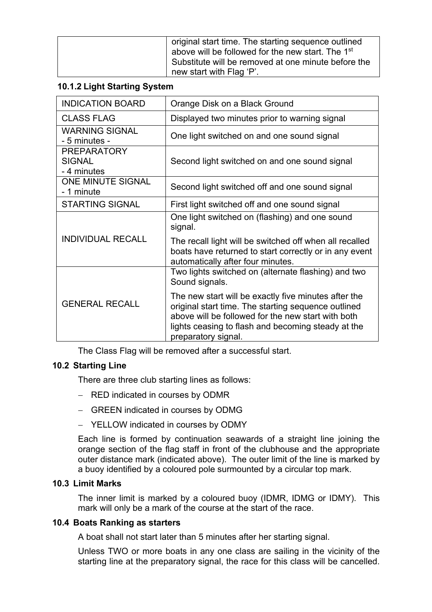| original start time. The starting sequence outlined<br>above will be followed for the new start. The 1 <sup>st</sup><br>Substitute will be removed at one minute before the |
|-----------------------------------------------------------------------------------------------------------------------------------------------------------------------------|
| new start with Flag 'P'.                                                                                                                                                    |

### **10.1.2 Light Starting System**

| <b>INDICATION BOARD</b>                            | Orange Disk on a Black Ground                                                                                                                                                                                                                  |
|----------------------------------------------------|------------------------------------------------------------------------------------------------------------------------------------------------------------------------------------------------------------------------------------------------|
| <b>CLASS FLAG</b>                                  | Displayed two minutes prior to warning signal                                                                                                                                                                                                  |
| <b>WARNING SIGNAL</b><br>- 5 minutes -             | One light switched on and one sound signal                                                                                                                                                                                                     |
| <b>PREPARATORY</b><br><b>SIGNAL</b><br>- 4 minutes | Second light switched on and one sound signal                                                                                                                                                                                                  |
| <b>ONE MINUTE SIGNAL</b><br>- 1 minute             | Second light switched off and one sound signal                                                                                                                                                                                                 |
| <b>STARTING SIGNAL</b>                             | First light switched off and one sound signal                                                                                                                                                                                                  |
|                                                    | One light switched on (flashing) and one sound<br>signal.                                                                                                                                                                                      |
| <b>INDIVIDUAL RECALL</b>                           | The recall light will be switched off when all recalled<br>boats have returned to start correctly or in any event<br>automatically after four minutes.                                                                                         |
|                                                    | Two lights switched on (alternate flashing) and two<br>Sound signals.                                                                                                                                                                          |
| <b>GENERAL RECALL</b>                              | The new start will be exactly five minutes after the<br>original start time. The starting sequence outlined<br>above will be followed for the new start with both<br>lights ceasing to flash and becoming steady at the<br>preparatory signal. |

The Class Flag will be removed after a successful start.

### **10.2 Starting Line**

There are three club starting lines as follows:

- RED indicated in courses by ODMR
- GREEN indicated in courses by ODMG
- YELLOW indicated in courses by ODMY

Each line is formed by continuation seawards of a straight line joining the orange section of the flag staff in front of the clubhouse and the appropriate outer distance mark (indicated above). The outer limit of the line is marked by a buoy identified by a coloured pole surmounted by a circular top mark.

### **10.3 Limit Marks**

The inner limit is marked by a coloured buoy (IDMR, IDMG or IDMY). This mark will only be a mark of the course at the start of the race.

### **10.4 Boats Ranking as starters**

A boat shall not start later than 5 minutes after her starting signal.

Unless TWO or more boats in any one class are sailing in the vicinity of the starting line at the preparatory signal, the race for this class will be cancelled.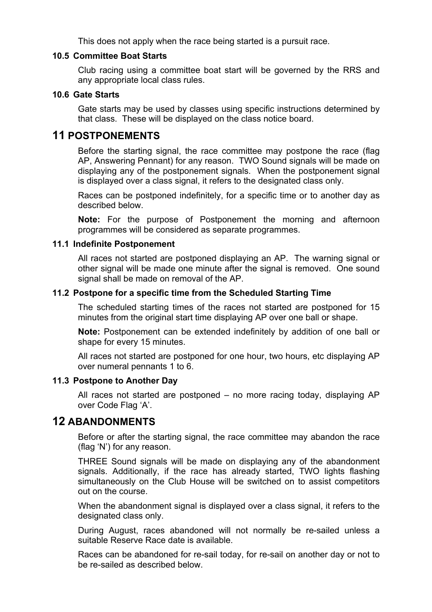This does not apply when the race being started is a pursuit race.

### **10.5 Committee Boat Starts**

Club racing using a committee boat start will be governed by the RRS and any appropriate local class rules.

### **10.6 Gate Starts**

Gate starts may be used by classes using specific instructions determined by that class. These will be displayed on the class notice board.

### **11 POSTPONEMENTS**

Before the starting signal, the race committee may postpone the race (flag AP, Answering Pennant) for any reason. TWO Sound signals will be made on displaying any of the postponement signals. When the postponement signal is displayed over a class signal, it refers to the designated class only.

Races can be postponed indefinitely, for a specific time or to another day as described below.

**Note:** For the purpose of Postponement the morning and afternoon programmes will be considered as separate programmes.

#### **11.1 Indefinite Postponement**

All races not started are postponed displaying an AP. The warning signal or other signal will be made one minute after the signal is removed. One sound signal shall be made on removal of the AP.

#### **11.2 Postpone for a specific time from the Scheduled Starting Time**

The scheduled starting times of the races not started are postponed for 15 minutes from the original start time displaying AP over one ball or shape.

**Note:** Postponement can be extended indefinitely by addition of one ball or shape for every 15 minutes.

All races not started are postponed for one hour, two hours, etc displaying AP over numeral pennants 1 to 6.

#### **11.3 Postpone to Another Day**

All races not started are postponed – no more racing today, displaying AP over Code Flag 'A'.

### **12 ABANDONMENTS**

Before or after the starting signal, the race committee may abandon the race (flag 'N') for any reason.

THREE Sound signals will be made on displaying any of the abandonment signals. Additionally, if the race has already started, TWO lights flashing simultaneously on the Club House will be switched on to assist competitors out on the course.

When the abandonment signal is displayed over a class signal, it refers to the designated class only.

During August, races abandoned will not normally be re-sailed unless a suitable Reserve Race date is available.

Races can be abandoned for re-sail today, for re-sail on another day or not to be re-sailed as described below.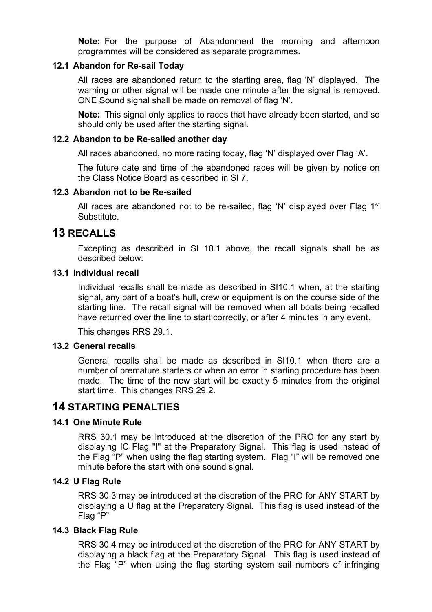**Note:** For the purpose of Abandonment the morning and afternoon programmes will be considered as separate programmes.

### **12.1 Abandon for Re-sail Today**

All races are abandoned return to the starting area, flag 'N' displayed. The warning or other signal will be made one minute after the signal is removed. ONE Sound signal shall be made on removal of flag 'N'.

**Note:** This signal only applies to races that have already been started, and so should only be used after the starting signal.

#### **12.2 Abandon to be Re-sailed another day**

All races abandoned, no more racing today, flag 'N' displayed over Flag 'A'.

The future date and time of the abandoned races will be given by notice on the Class Notice Board as described in SI 7.

#### **12.3 Abandon not to be Re-sailed**

All races are abandoned not to be re-sailed, flag 'N' displayed over Flag  $1<sup>st</sup>$ Substitute.

### **13 RECALLS**

Excepting as described in SI 10.1 above, the recall signals shall be as described below:

#### **13.1 Individual recall**

Individual recalls shall be made as described in SI10.1 when, at the starting signal, any part of a boat's hull, crew or equipment is on the course side of the starting line. The recall signal will be removed when all boats being recalled have returned over the line to start correctly, or after 4 minutes in any event.

This changes RRS 29.1.

### **13.2 General recalls**

General recalls shall be made as described in SI10.1 when there are a number of premature starters or when an error in starting procedure has been made. The time of the new start will be exactly 5 minutes from the original start time. This changes RRS 29.2.

### **14 STARTING PENALTIES**

### **14.1 One Minute Rule**

RRS 30.1 may be introduced at the discretion of the PRO for any start by displaying IC Flag "I" at the Preparatory Signal. This flag is used instead of the Flag "P" when using the flag starting system. Flag "I" will be removed one minute before the start with one sound signal.

#### **14.2 U Flag Rule**

RRS 30.3 may be introduced at the discretion of the PRO for ANY START by displaying a U flag at the Preparatory Signal. This flag is used instead of the Flag "P"

#### **14.3 Black Flag Rule**

RRS 30.4 may be introduced at the discretion of the PRO for ANY START by displaying a black flag at the Preparatory Signal. This flag is used instead of the Flag "P" when using the flag starting system sail numbers of infringing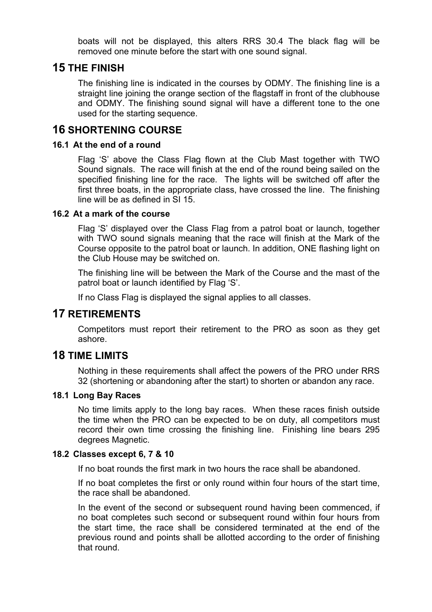boats will not be displayed, this alters RRS 30.4 The black flag will be removed one minute before the start with one sound signal.

### **15 THE FINISH**

The finishing line is indicated in the courses by ODMY. The finishing line is a straight line joining the orange section of the flagstaff in front of the clubhouse and ODMY. The finishing sound signal will have a different tone to the one used for the starting sequence.

### **16 SHORTENING COURSE**

### **16.1 At the end of a round**

Flag 'S' above the Class Flag flown at the Club Mast together with TWO Sound signals. The race will finish at the end of the round being sailed on the specified finishing line for the race. The lights will be switched off after the first three boats, in the appropriate class, have crossed the line. The finishing line will be as defined in SI 15.

#### **16.2 At a mark of the course**

Flag 'S' displayed over the Class Flag from a patrol boat or launch, together with TWO sound signals meaning that the race will finish at the Mark of the Course opposite to the patrol boat or launch. In addition, ONE flashing light on the Club House may be switched on.

The finishing line will be between the Mark of the Course and the mast of the patrol boat or launch identified by Flag 'S'.

If no Class Flag is displayed the signal applies to all classes.

### **17 RETIREMENTS**

Competitors must report their retirement to the PRO as soon as they get ashore.

### **18 TIME LIMITS**

Nothing in these requirements shall affect the powers of the PRO under RRS 32 (shortening or abandoning after the start) to shorten or abandon any race.

### **18.1 Long Bay Races**

No time limits apply to the long bay races. When these races finish outside the time when the PRO can be expected to be on duty, all competitors must record their own time crossing the finishing line. Finishing line bears 295 degrees Magnetic.

### **18.2 Classes except 6, 7 & 10**

If no boat rounds the first mark in two hours the race shall be abandoned.

If no boat completes the first or only round within four hours of the start time, the race shall be abandoned.

In the event of the second or subsequent round having been commenced, if no boat completes such second or subsequent round within four hours from the start time, the race shall be considered terminated at the end of the previous round and points shall be allotted according to the order of finishing that round.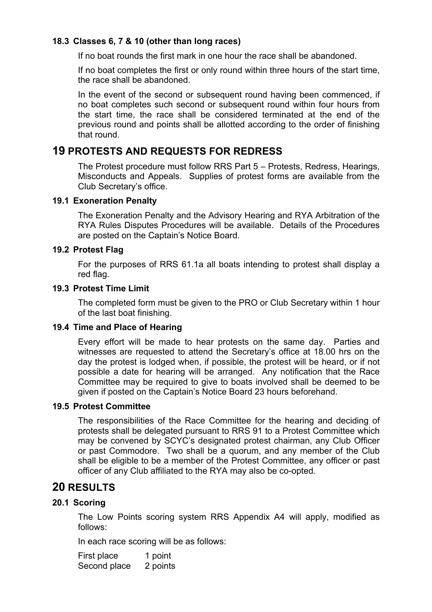### **18.3 Classes 6, 7 & 10 (other than long races)**

If no boat rounds the first mark in one hour the race shall be abandoned.

If no boat completes the first or only round within three hours of the start time, the race shall be abandoned.

In the event of the second or subsequent round having been commenced, if no boat completes such second or subsequent round within four hours from the start time, the race shall be considered terminated at the end of the previous round and points shall be allotted according to the order of finishing that round.

### **19 PROTESTS AND REQUESTS FOR REDRESS**

The Protest procedure must follow RRS Part 5 – Protests, Redress, Hearings, Misconducts and Appeals. Supplies of protest forms are available from the Club Secretary's office.

#### **19.1 Exoneration Penalty**

The Exoneration Penalty and the Advisory Hearing and RYA Arbitration of the RYA Rules Disputes Procedures will be available. Details of the Procedures are posted on the Captain's Notice Board.

#### **19.2 Protest Flag**

For the purposes of RRS 61.1a all boats intending to protest shall display a red flag.

#### **19.3 Protest Time Limit**

The completed form must be given to the PRO or Club Secretary within 1 hour of the last boat finishing.

#### **19.4 Time and Place of Hearing**

Every effort will be made to hear protests on the same day. Parties and witnesses are requested to attend the Secretary's office at 18.00 hrs on the day the protest is lodged when, if possible, the protest will be heard, or if not possible a date for hearing will be arranged. Any notification that the Race Committee may be required to give to boats involved shall be deemed to be given if posted on the Captain's Notice Board 23 hours beforehand.

#### **19.5 Protest Committee**

The responsibilities of the Race Committee for the hearing and deciding of protests shall be delegated pursuant to RRS 91 to a Protest Committee which may be convened by SCYC's designated protest chairman, any Club Officer or past Commodore. Two shall be a quorum, and any member of the Club shall be eligible to be a member of the Protest Committee, any officer or past officer of any Club affiliated to the RYA may also be co-opted.

### **20 RESULTS**

### **20.1 Scoring**

The Low Points scoring system RRS Appendix A4 will apply, modified as follows:

In each race scoring will be as follows:

First place 1 point Second place 2 points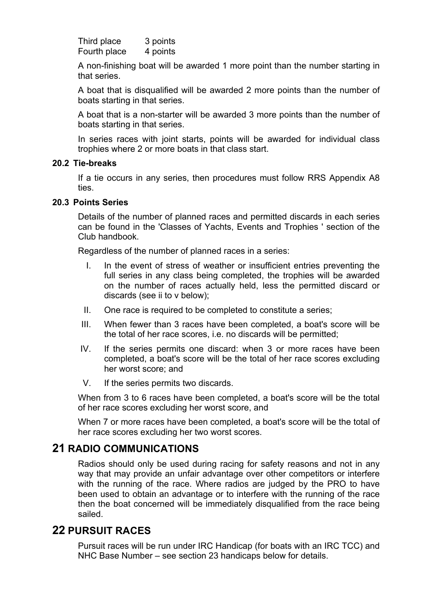Third place 3 points Fourth place 4 points

A non-finishing boat will be awarded 1 more point than the number starting in that series.

A boat that is disqualified will be awarded 2 more points than the number of boats starting in that series.

A boat that is a non-starter will be awarded 3 more points than the number of boats starting in that series.

In series races with joint starts, points will be awarded for individual class trophies where 2 or more boats in that class start.

### **20.2 Tie-breaks**

If a tie occurs in any series, then procedures must follow RRS Appendix A8 ties.

#### **20.3 Points Series**

Details of the number of planned races and permitted discards in each series can be found in the 'Classes of Yachts, Events and Trophies ' section of the Club handbook.

Regardless of the number of planned races in a series:

- I. In the event of stress of weather or insufficient entries preventing the full series in any class being completed, the trophies will be awarded on the number of races actually held, less the permitted discard or discards (see ii to v below);
- II. One race is required to be completed to constitute a series;
- III. When fewer than 3 races have been completed, a boat's score will be the total of her race scores, i.e. no discards will be permitted;
- IV. If the series permits one discard: when 3 or more races have been completed, a boat's score will be the total of her race scores excluding her worst score; and
- V. If the series permits two discards.

When from 3 to 6 races have been completed, a boat's score will be the total of her race scores excluding her worst score, and

When 7 or more races have been completed, a boat's score will be the total of her race scores excluding her two worst scores.

### **21 RADIO COMMUNICATIONS**

Radios should only be used during racing for safety reasons and not in any way that may provide an unfair advantage over other competitors or interfere with the running of the race. Where radios are judged by the PRO to have been used to obtain an advantage or to interfere with the running of the race then the boat concerned will be immediately disqualified from the race being sailed.

### **22 PURSUIT RACES**

Pursuit races will be run under IRC Handicap (for boats with an IRC TCC) and NHC Base Number – see section 23 handicaps below for details.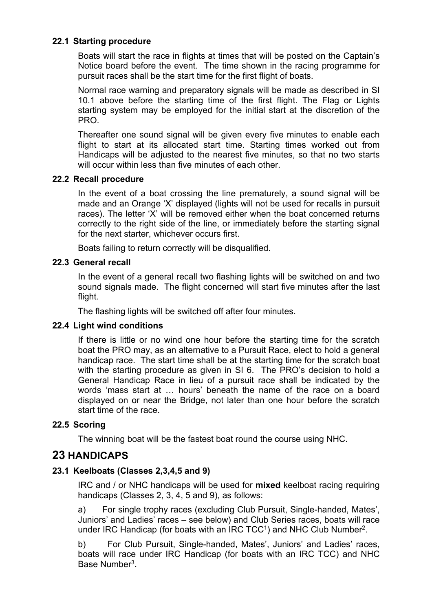### **22.1 Starting procedure**

Boats will start the race in flights at times that will be posted on the Captain's Notice board before the event. The time shown in the racing programme for pursuit races shall be the start time for the first flight of boats.

Normal race warning and preparatory signals will be made as described in SI 10.1 above before the starting time of the first flight. The Flag or Lights starting system may be employed for the initial start at the discretion of the PRO.

Thereafter one sound signal will be given every five minutes to enable each flight to start at its allocated start time. Starting times worked out from Handicaps will be adjusted to the nearest five minutes, so that no two starts will occur within less than five minutes of each other.

### **22.2 Recall procedure**

In the event of a boat crossing the line prematurely, a sound signal will be made and an Orange 'X' displayed (lights will not be used for recalls in pursuit races). The letter 'X' will be removed either when the boat concerned returns correctly to the right side of the line, or immediately before the starting signal for the next starter, whichever occurs first.

Boats failing to return correctly will be disqualified.

### **22.3 General recall**

In the event of a general recall two flashing lights will be switched on and two sound signals made. The flight concerned will start five minutes after the last flight.

The flashing lights will be switched off after four minutes.

### **22.4 Light wind conditions**

If there is little or no wind one hour before the starting time for the scratch boat the PRO may, as an alternative to a Pursuit Race, elect to hold a general handicap race. The start time shall be at the starting time for the scratch boat with the starting procedure as given in SI 6. The PRO's decision to hold a General Handicap Race in lieu of a pursuit race shall be indicated by the words 'mass start at … hours' beneath the name of the race on a board displayed on or near the Bridge, not later than one hour before the scratch start time of the race.

### **22.5 Scoring**

The winning boat will be the fastest boat round the course using NHC.

### **23 HANDICAPS**

### **23.1 Keelboats (Classes 2,3,4,5 and 9)**

IRC and / or NHC handicaps will be used for **mixed** keelboat racing requiring handicaps (Classes 2, 3, 4, 5 and 9), as follows:

a) For single trophy races (excluding Club Pursuit, Single-handed, Mates', Juniors' and Ladies' races – see below) and Club Series races, boats will race under IRC Handicap (for boats with an IRC TCC<sup>1</sup>) and NHC Club Number<sup>2</sup>.

b) For Club Pursuit, Single-handed, Mates', Juniors' and Ladies' races, boats will race under IRC Handicap (for boats with an IRC TCC) and NHC Base Number<sup>3</sup>.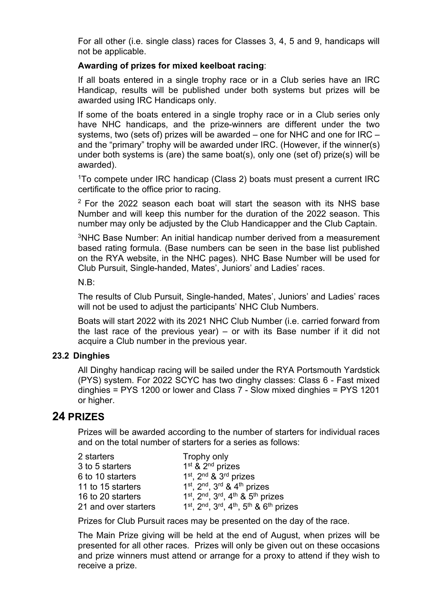For all other (i.e. single class) races for Classes 3, 4, 5 and 9, handicaps will not be applicable.

### **Awarding of prizes for mixed keelboat racing**:

If all boats entered in a single trophy race or in a Club series have an IRC Handicap, results will be published under both systems but prizes will be awarded using IRC Handicaps only.

If some of the boats entered in a single trophy race or in a Club series only have NHC handicaps, and the prize-winners are different under the two systems, two (sets of) prizes will be awarded – one for NHC and one for IRC – and the "primary" trophy will be awarded under IRC. (However, if the winner(s) under both systems is (are) the same boat(s), only one (set of) prize(s) will be awarded).

<sup>1</sup>To compete under IRC handicap (Class 2) boats must present a current IRC certificate to the office prior to racing.

 $2$  For the 2022 season each boat will start the season with its NHS base Number and will keep this number for the duration of the 2022 season. This number may only be adjusted by the Club Handicapper and the Club Captain.

<sup>3</sup>NHC Base Number: An initial handicap number derived from a measurement based rating formula. (Base numbers can be seen in the base list published on the RYA website, in the NHC pages). NHC Base Number will be used for Club Pursuit, Single-handed, Mates', Juniors' and Ladies' races.

N.B:

The results of Club Pursuit, Single-handed, Mates', Juniors' and Ladies' races will not be used to adjust the participants' NHC Club Numbers.

Boats will start 2022 with its 2021 NHC Club Number (i.e. carried forward from the last race of the previous year) – or with its Base number if it did not acquire a Club number in the previous year.

### **23.2 Dinghies**

All Dinghy handicap racing will be sailed under the RYA Portsmouth Yardstick (PYS) system. For 2022 SCYC has two dinghy classes: Class 6 - Fast mixed dinghies = PYS 1200 or lower and Class 7 - Slow mixed dinghies = PYS 1201 or higher.

### **24 PRIZES**

Prizes will be awarded according to the number of starters for individual races and on the total number of starters for a series as follows:

| 2 starters           | Trophy only                                                            |
|----------------------|------------------------------------------------------------------------|
| 3 to 5 starters      | 1 <sup>st</sup> & 2 <sup>nd</sup> prizes                               |
| 6 to 10 starters     | 1 <sup>st</sup> , 2 <sup>nd</sup> & 3 <sup>rd</sup> prizes             |
| 11 to 15 starters    | $1st$ , $2nd$ , $3rd$ & $4th$ prizes                                   |
| 16 to 20 starters    | $1^{st}$ , $2^{nd}$ , $3^{rd}$ , $4^{th}$ & $5^{th}$ prizes            |
| 21 and over starters | $1^{st}$ , $2^{nd}$ , $3^{rd}$ , $4^{th}$ , $5^{th}$ & $6^{th}$ prizes |

Prizes for Club Pursuit races may be presented on the day of the race.

The Main Prize giving will be held at the end of August, when prizes will be presented for all other races. Prizes will only be given out on these occasions and prize winners must attend or arrange for a proxy to attend if they wish to receive a prize.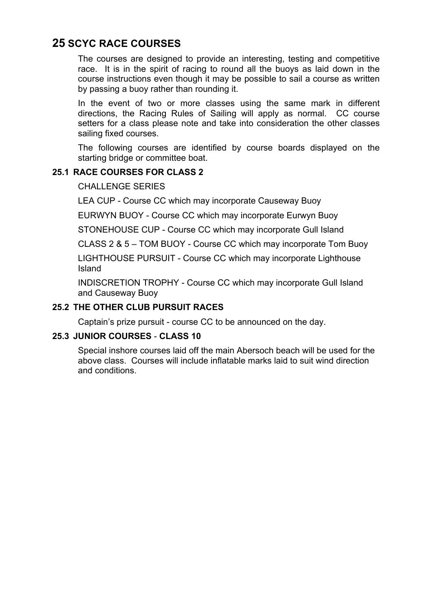### **25 SCYC RACE COURSES**

The courses are designed to provide an interesting, testing and competitive race. It is in the spirit of racing to round all the buoys as laid down in the course instructions even though it may be possible to sail a course as written by passing a buoy rather than rounding it.

In the event of two or more classes using the same mark in different directions, the Racing Rules of Sailing will apply as normal. CC course setters for a class please note and take into consideration the other classes sailing fixed courses.

The following courses are identified by course boards displayed on the starting bridge or committee boat.

### **25.1 RACE COURSES FOR CLASS 2**

CHALLENGE SERIES

LEA CUP - Course CC which may incorporate Causeway Buoy

EURWYN BUOY - Course CC which may incorporate Eurwyn Buoy

STONEHOUSE CUP - Course CC which may incorporate Gull Island

CLASS 2 & 5 – TOM BUOY - Course CC which may incorporate Tom Buoy

LIGHTHOUSE PURSUIT - Course CC which may incorporate Lighthouse Island

INDISCRETION TROPHY - Course CC which may incorporate Gull Island and Causeway Buoy

### **25.2 THE OTHER CLUB PURSUIT RACES**

Captain's prize pursuit - course CC to be announced on the day.

### **25.3 JUNIOR COURSES** - **CLASS 10**

Special inshore courses laid off the main Abersoch beach will be used for the above class. Courses will include inflatable marks laid to suit wind direction and conditions.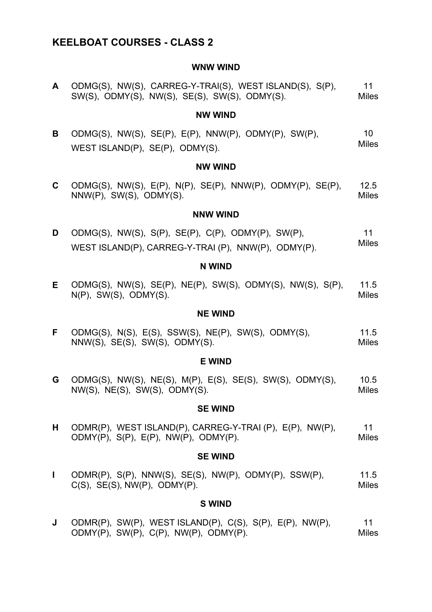### **KEELBOAT COURSES - CLASS 2**

#### **WNW WIND**

**A** ODMG(S), NW(S), CARREG-Y-TRAI(S), WEST ISLAND(S), S(P), SW(S), ODMY(S), NW(S), SE(S), SW(S), ODMY(S). 11 Miles

#### **NW WIND**

**B** ODMG(S), NW(S), SE(P), E(P), NNW(P), ODMY(P), SW(P), WEST ISLAND(P), SE(P), ODMY(S). 10 Miles

#### **NW WIND**

**C** ODMG(S), NW(S), E(P), N(P), SE(P), NNW(P), ODMY(P), SE(P), NNW(P), SW(S), ODMY(S). 12.5 **Miles** 

#### **NNW WIND**

**D** ODMG(S), NW(S), S(P), SE(P), C(P), ODMY(P), SW(P), WEST ISLAND(P), CARREG-Y-TRAI (P), NNW(P), ODMY(P). 11 Miles

#### **N WIND**

**E** ODMG(S), NW(S), SE(P), NE(P), SW(S), ODMY(S), NW(S), S(P), N(P), SW(S), ODMY(S). 11.5 Miles

#### **NE WIND**

**F** ODMG(S), N(S), E(S), SSW(S), NE(P), SW(S), ODMY(S), NNW(S), SE(S), SW(S), ODMY(S). 11.5 Miles

#### **E WIND**

**G** ODMG(S), NW(S), NE(S), M(P), E(S), SE(S), SW(S), ODMY(S), NW(S), NE(S), SW(S), ODMY(S). 10.5 Miles

#### **SE WIND**

**H** ODMR(P), WEST ISLAND(P), CARREG-Y-TRAI (P), E(P), NW(P), ODMY(P), S(P), E(P), NW(P), ODMY(P). 11 Miles

#### **SE WIND**

**I** ODMR(P), S(P), NNW(S), SE(S), NW(P), ODMY(P), SSW(P),  $C(S)$ ,  $SE(S)$ ,  $NW(P)$ ,  $ODMY(P)$ . 11.5 Miles

#### **S WIND**

**J** ODMR(P), SW(P), WEST ISLAND(P), C(S), S(P), E(P), NW(P), ODMY(P), SW(P), C(P), NW(P), ODMY(P). 11 **Miles**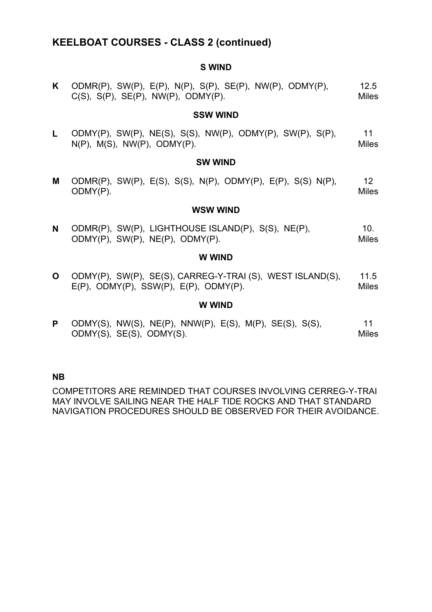### **KEELBOAT COURSES - CLASS 2 (continued)**

#### **S WIND**

| K ODMR(P), SW(P), E(P), N(P), S(P), SE(P), NW(P), ODMY(P), | 12.5         |
|------------------------------------------------------------|--------------|
| $C(S)$ , $S(P)$ , $SE(P)$ , $NW(P)$ , $ODMY(P)$ .          | <b>Miles</b> |

#### **SSW WIND**

**L** ODMY(P), SW(P), NE(S), S(S), NW(P), ODMY(P), SW(P), S(P),  $N(P)$ ,  $M(S)$ ,  $NW(P)$ ,  $ODMY(P)$ . 11 **Miles** 

#### **SW WIND**

**M** ODMR(P), SW(P), E(S), S(S), N(P), ODMY(P), E(P), S(S) N(P), ODMY(P). 12 **Miles** 

#### **WSW WIND**

**N** ODMR(P), SW(P), LIGHTHOUSE ISLAND(P), S(S), NE(P), ODMY(P), SW(P), NE(P), ODMY(P). 10. Miles

#### **W WIND**

**O** ODMY(P), SW(P), SE(S), CARREG-Y-TRAI (S), WEST ISLAND(S),  $E(P)$ , ODMY $(P)$ , SSW $(P)$ ,  $E(P)$ , ODMY $(P)$ . 11.5 Miles

#### **W WIND**

**P** ODMY(S), NW(S), NE(P), NNW(P), E(S), M(P), SE(S), S(S), ODMY(S), SE(S), ODMY(S). 11 Miles

### **NB**

COMPETITORS ARE REMINDED THAT COURSES INVOLVING CERREG-Y-TRAI MAY INVOLVE SAILING NEAR THE HALF TIDE ROCKS AND THAT STANDARD NAVIGATION PROCEDURES SHOULD BE OBSERVED FOR THEIR AVOIDANCE.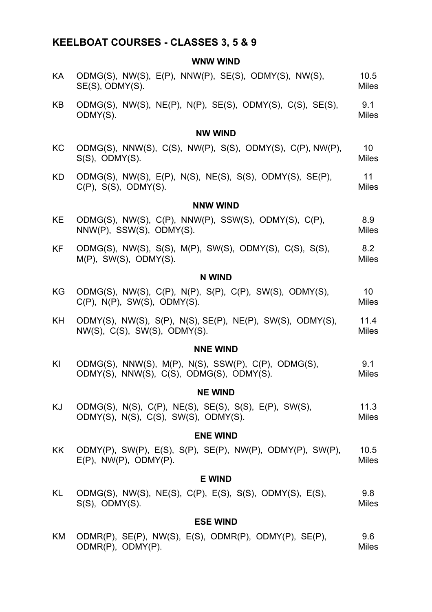### **KEELBOAT COURSES - CLASSES 3, 5 & 9**

### **WNW WIND**

| ΚA        | ODMG(S), NW(S), E(P), NNW(P), SE(S), ODMY(S), NW(S),<br>SE(S), ODMY(S).                            | 10.5<br><b>Miles</b>            |
|-----------|----------------------------------------------------------------------------------------------------|---------------------------------|
| KB        | ODMG(S), NW(S), NE(P), N(P), SE(S), ODMY(S), C(S), SE(S),<br>ODMY(S).                              | 9.1<br><b>Miles</b>             |
|           | <b>NW WIND</b>                                                                                     |                                 |
| KC        | ODMG(S), NNW(S), C(S), NW(P), S(S), ODMY(S), C(P), NW(P),<br>$S(S)$ , ODMY $(S)$ .                 | 10 <sup>°</sup><br><b>Miles</b> |
| KD.       | ODMG(S), NW(S), E(P), N(S), NE(S), S(S), ODMY(S), SE(P),<br>$C(P)$ , $S(S)$ , $ODMY(S)$ .          | 11<br><b>Miles</b>              |
|           | <b>NNW WIND</b>                                                                                    |                                 |
| <b>KE</b> | ODMG(S), NW(S), C(P), NNW(P), SSW(S), ODMY(S), C(P),<br>$NNW(P)$ , SSW $(S)$ , ODMY $(S)$ .        | 8.9<br><b>Miles</b>             |
| KF.       | ODMG(S), NW(S), S(S), M(P), SW(S), ODMY(S), C(S), S(S),<br>$M(P)$ , SW(S), ODMY(S).                | 8.2<br><b>Miles</b>             |
|           | <b>N WIND</b>                                                                                      |                                 |
| KG        | ODMG(S), NW(S), C(P), N(P), S(P), C(P), SW(S), ODMY(S),<br>$C(P)$ , $N(P)$ , $SW(S)$ , $ODMY(S)$ . | 10 <sup>°</sup><br><b>Miles</b> |
| KH        | ODMY(S), NW(S), S(P), N(S), SE(P), NE(P), SW(S), ODMY(S),<br>NW(S), C(S), SW(S), ODMY(S).          | 11.4<br><b>Miles</b>            |
|           | <b>NNE WIND</b>                                                                                    |                                 |
| KI        | ODMG(S), NNW(S), M(P), N(S), SSW(P), C(P), ODMG(S),<br>ODMY(S), NNW(S), C(S), ODMG(S), ODMY(S).    | 9.1<br><b>Miles</b>             |
|           | <b>NE WIND</b>                                                                                     |                                 |
| ΚJ        | ODMG(S), N(S), C(P), NE(S), SE(S), S(S), E(P), SW(S),<br>ODMY(S), N(S), C(S), SW(S), ODMY(S).      | 11.3<br><b>Miles</b>            |
|           | <b>ENE WIND</b>                                                                                    |                                 |
| KK        | ODMY(P), SW(P), E(S), S(P), SE(P), NW(P), ODMY(P), SW(P),<br>$E(P)$ , NW(P), ODMY(P).              | 10.5<br><b>Miles</b>            |
|           | <b>E WIND</b>                                                                                      |                                 |
| KL        | ODMG(S), NW(S), NE(S), C(P), E(S), S(S), ODMY(S), E(S),<br>$S(S)$ , ODMY $(S)$ .                   | 9.8<br><b>Miles</b>             |
|           | <b>ESE WIND</b>                                                                                    |                                 |
|           |                                                                                                    |                                 |

KM ODMR(P), SE(P), NW(S), E(S), ODMR(P), ODMY(P), SE(P), ODMR(P), ODMY(P). 9.6 Miles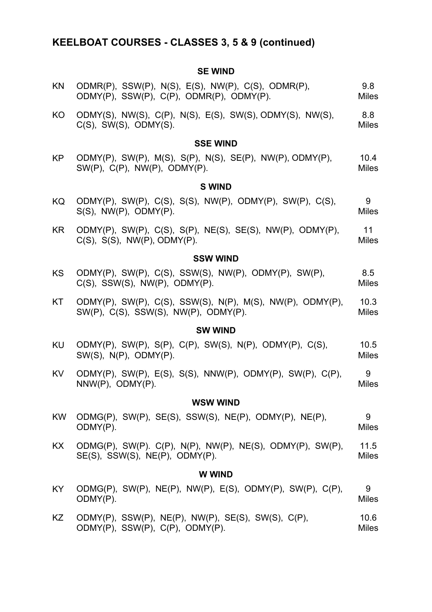# **KEELBOAT COURSES - CLASSES 3, 5 & 9 (continued)**

### **SE WIND**

| <b>KN</b> | ODMR(P), SSW(P), N(S), E(S), NW(P), C(S), ODMR(P),<br>ODMY(P), SSW(P), C(P), ODMR(P), ODMY(P).       | 9.8<br><b>Miles</b>  |
|-----------|------------------------------------------------------------------------------------------------------|----------------------|
| KO        | ODMY(S), NW(S), C(P), N(S), E(S), SW(S), ODMY(S), NW(S),<br>$C(S)$ , SW(S), ODMY(S).                 | 8.8<br><b>Miles</b>  |
|           | <b>SSE WIND</b>                                                                                      |                      |
| KP        | ODMY(P), SW(P), M(S), S(P), N(S), SE(P), NW(P), ODMY(P),<br>$SW(P)$ , $C(P)$ , $NW(P)$ , $ODMY(P)$ . | 10.4<br><b>Miles</b> |
|           | <b>S WIND</b>                                                                                        |                      |
| KQ        | ODMY(P), SW(P), C(S), S(S), NW(P), ODMY(P), SW(P), C(S),<br>$S(S)$ , NW(P), ODMY(P).                 | 9<br><b>Miles</b>    |
| KR.       | ODMY(P), SW(P), C(S), S(P), NE(S), SE(S), NW(P), ODMY(P),<br>$C(S)$ , $S(S)$ , $NW(P)$ , $ODMY(P)$ . | 11<br><b>Miles</b>   |
|           | <b>SSW WIND</b>                                                                                      |                      |
| <b>KS</b> | ODMY(P), SW(P), C(S), SSW(S), NW(P), ODMY(P), SW(P),<br>$C(S)$ , SSW(S), NW(P), ODMY(P).             | 8.5<br><b>Miles</b>  |
| KT        | ODMY(P), SW(P), C(S), SSW(S), N(P), M(S), NW(P), ODMY(P),<br>SW(P), C(S), SSW(S), NW(P), ODMY(P).    | 10.3<br><b>Miles</b> |
|           | <b>SW WIND</b>                                                                                       |                      |
| KU        | ODMY(P), SW(P), S(P), C(P), SW(S), N(P), ODMY(P), C(S),<br>SW(S), N(P), ODMY(P).                     | 10.5<br><b>Miles</b> |
| KV        | ODMY(P), SW(P), E(S), S(S), NNW(P), ODMY(P), SW(P), C(P),<br>$NNW(P)$ , $ODMY(P)$ .                  | 9<br><b>Miles</b>    |
|           | <b>WSW WIND</b>                                                                                      |                      |
| <b>KW</b> | ODMG(P), SW(P), SE(S), SSW(S), NE(P), ODMY(P), NE(P),<br>ODMY(P).                                    | 9<br><b>Miles</b>    |
| KX        | ODMG(P), SW(P). C(P), N(P), NW(P), NE(S), ODMY(P), SW(P),<br>$SE(S)$ , SSW(S), NE(P), ODMY(P).       | 11.5<br><b>Miles</b> |
|           | <b>WWIND</b>                                                                                         |                      |
| KY.       | ODMG(P), SW(P), NE(P), NW(P), E(S), ODMY(P), SW(P), C(P),<br>ODMY(P).                                | 9<br><b>Miles</b>    |
| KZ        | $ODMY(P)$ , SSW(P), NE(P), NW(P), SE(S), SW(S), C(P),<br>ODMY(P), SSW(P), C(P), ODMY(P).             | 10.6<br><b>Miles</b> |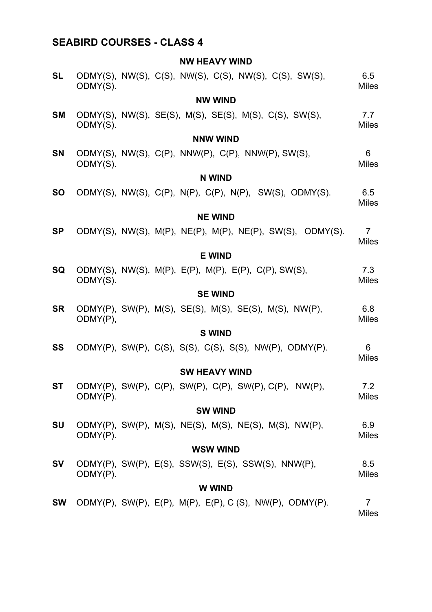### **SEABIRD COURSES - CLASS 4**

### **NW HEAVY WIND**

| <b>SL</b>      | ODMY(S). |  | ODMY(S), NW(S), C(S), NW(S), C(S), NW(S), C(S), SW(S),    | 6.5<br><b>Miles</b>            |  |  |
|----------------|----------|--|-----------------------------------------------------------|--------------------------------|--|--|
|                |          |  | <b>NW WIND</b>                                            |                                |  |  |
| <b>SM</b>      | ODMY(S). |  | ODMY(S), NW(S), SE(S), M(S), SE(S), M(S), C(S), SW(S),    | 7.7<br><b>Miles</b>            |  |  |
|                |          |  | <b>NNW WIND</b>                                           |                                |  |  |
| <b>SN</b>      | ODMY(S). |  | ODMY(S), NW(S), C(P), NNW(P), C(P), NNW(P), SW(S),        | 6<br><b>Miles</b>              |  |  |
|                |          |  | <b>N WIND</b>                                             |                                |  |  |
| <b>SO</b>      |          |  | ODMY(S), NW(S), C(P), N(P), C(P), N(P), SW(S), ODMY(S).   | 6.5<br><b>Miles</b>            |  |  |
|                |          |  | <b>NE WIND</b>                                            |                                |  |  |
| <b>SP</b>      |          |  | ODMY(S), NW(S), M(P), NE(P), M(P), NE(P), SW(S), ODMY(S). | $\overline{7}$<br><b>Miles</b> |  |  |
|                |          |  | <b>E WIND</b>                                             |                                |  |  |
| SQ             | ODMY(S). |  | ODMY(S), NW(S), M(P), E(P), M(P), E(P), C(P), SW(S),      | 7.3<br><b>Miles</b>            |  |  |
|                |          |  | <b>SE WIND</b>                                            |                                |  |  |
| <b>SR</b>      | ODMY(P), |  | ODMY(P), SW(P), M(S), SE(S), M(S), SE(S), M(S), NW(P),    | 6.8<br><b>Miles</b>            |  |  |
|                |          |  | <b>S WIND</b>                                             |                                |  |  |
| <b>SS</b>      |          |  | ODMY(P), SW(P), C(S), S(S), C(S), S(S), NW(P), ODMY(P).   | 6<br><b>Miles</b>              |  |  |
|                |          |  | <b>SW HEAVY WIND</b>                                      |                                |  |  |
| <b>ST</b>      | ODMY(P). |  | ODMY(P), SW(P), C(P), SW(P), C(P), SW(P), C(P), NW(P),    | 7.2<br><b>Miles</b>            |  |  |
| <b>SW WIND</b> |          |  |                                                           |                                |  |  |
| <b>SU</b>      | ODMY(P). |  | ODMY(P), SW(P), M(S), NE(S), M(S), NE(S), M(S), NW(P),    | 6.9<br><b>Miles</b>            |  |  |
|                |          |  | <b>WSW WIND</b>                                           |                                |  |  |
| SV             | ODMY(P). |  | ODMY(P), SW(P), E(S), SSW(S), E(S), SSW(S), NNW(P),       | 8.5<br><b>Miles</b>            |  |  |
| <b>WWIND</b>   |          |  |                                                           |                                |  |  |
| <b>SW</b>      |          |  | ODMY(P), SW(P), E(P), M(P), E(P), C(S), NW(P), ODMY(P).   | $\overline{7}$<br><b>Miles</b> |  |  |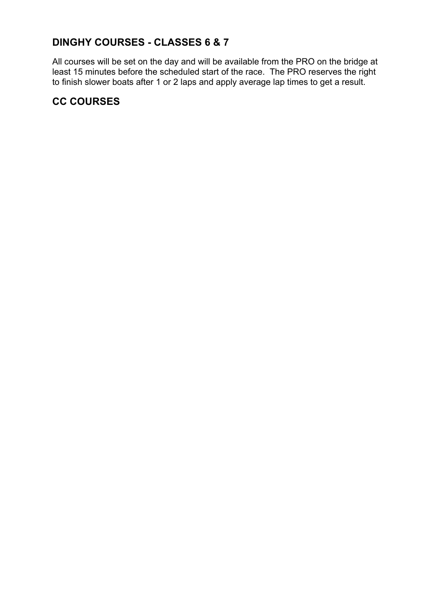### **DINGHY COURSES - CLASSES 6 & 7**

All courses will be set on the day and will be available from the PRO on the bridge at least 15 minutes before the scheduled start of the race. The PRO reserves the right to finish slower boats after 1 or 2 laps and apply average lap times to get a result.

### **CC COURSES**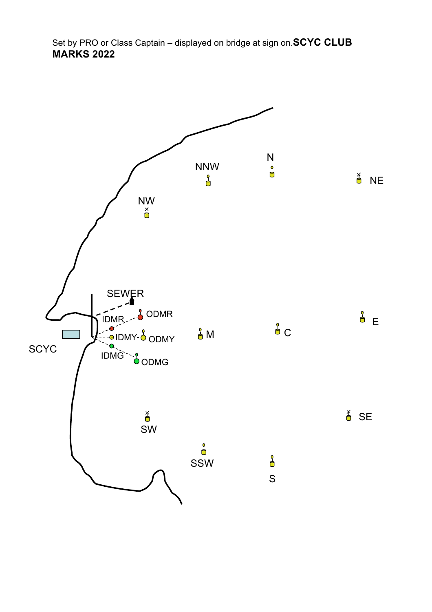Set by PRO or Class Captain – displayed on bridge at sign on.**SCYC CLUB MARKS 2022**

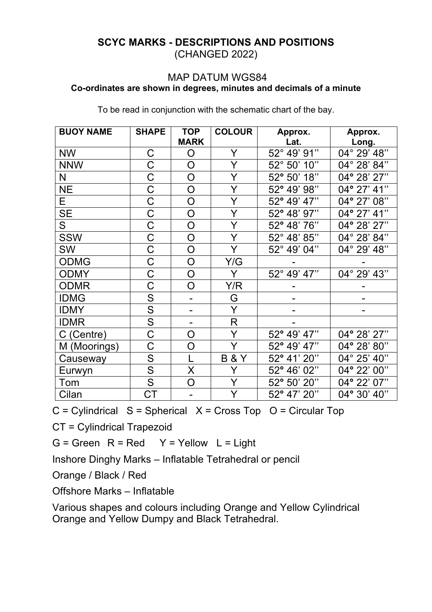### **SCYC MARKS - DESCRIPTIONS AND POSITIONS**  (CHANGED 2022)

### MAP DATUM WGS84 **Co-ordinates are shown in degrees, minutes and decimals of a minute**

|  |  |  | To be read in conjunction with the schematic chart of the bay. |  |  |
|--|--|--|----------------------------------------------------------------|--|--|
|  |  |  |                                                                |  |  |

| <b>BUOY NAME</b> | <b>SHAPE</b>            | <b>TOP</b><br><b>MARK</b> | <b>COLOUR</b>  | Approx.<br>Lat. | Approx.<br>Long. |
|------------------|-------------------------|---------------------------|----------------|-----------------|------------------|
| <b>NW</b>        | С                       | O                         | Y              | 52° 49' 91"     | 04° 29' 48"      |
| <b>NNW</b>       | C                       | O                         | Y              | 52° 50' 10"     | 04° 28' 84"      |
| N                | C                       | O                         | Y              | 52° 50' 18"     | 04° 28' 27"      |
| <b>NE</b>        | C                       | O                         | Y              | 52° 49' 98"     | 04° 27' 41"      |
| Е                | $\mathsf C$             | O                         | Y              | 52° 49' 47"     | 04° 27' 08"      |
| <b>SE</b>        | C                       | O                         | Y              | 52° 48' 97"     | 04° 27' 41"      |
| S                | C                       | O                         | Y              | 52° 48' 76"     | 04° 28' 27"      |
| <b>SSW</b>       | C                       | $\bigcirc$                | Y              | 52° 48' 85"     | 04° 28' 84"      |
| <b>SW</b>        | C                       | O                         | Y              | 52° 49' 04"     | 04° 29' 48"      |
| <b>ODMG</b>      | C                       | O                         | Y/G            |                 |                  |
| <b>ODMY</b>      | $\mathsf C$             | O                         | Y              | 52° 49' 47"     | 04° 29' 43"      |
| <b>ODMR</b>      | C                       | O                         | Y/R            |                 |                  |
| <b>IDMG</b>      | ${\mathsf S}$           |                           | G              |                 |                  |
| <b>IDMY</b>      | S                       |                           | Y              |                 |                  |
| <b>IDMR</b>      | $\overline{\mathsf{S}}$ |                           | $\mathsf R$    |                 |                  |
| C (Centre)       | C                       | O                         | Y              | 52° 49' 47"     | 04° 28' 27"      |
| M (Moorings)     | Ć                       | O                         | Y              | 52° 49' 47"     | 04° 28' 80"      |
| Causeway         | ${\sf S}$               |                           | <b>B&amp;Y</b> | 52° 41' 20"     | 04° 25' 40"      |
| Eurwyn           | S                       | X                         | Y              | 52° 46' 02"     | 04° 22' 00"      |
| Tom              | S                       | O                         | Y              | 52° 50' 20"     | 04° 22' 07"      |
| Cilan            | $C\mathsf{T}$           |                           | Y              | 52° 47' 20"     | 04° 30' 40"      |

 $C = C$ ylindrical  $S = S$ pherical  $X = C$ ross Top  $O = C$ ircular Top

CT = Cylindrical Trapezoid

 $G =$  Green  $R = Red$   $Y =$  Yellow  $L =$  Light

Inshore Dinghy Marks – Inflatable Tetrahedral or pencil

Orange / Black / Red

Offshore Marks – Inflatable

Various shapes and colours including Orange and Yellow Cylindrical Orange and Yellow Dumpy and Black Tetrahedral.